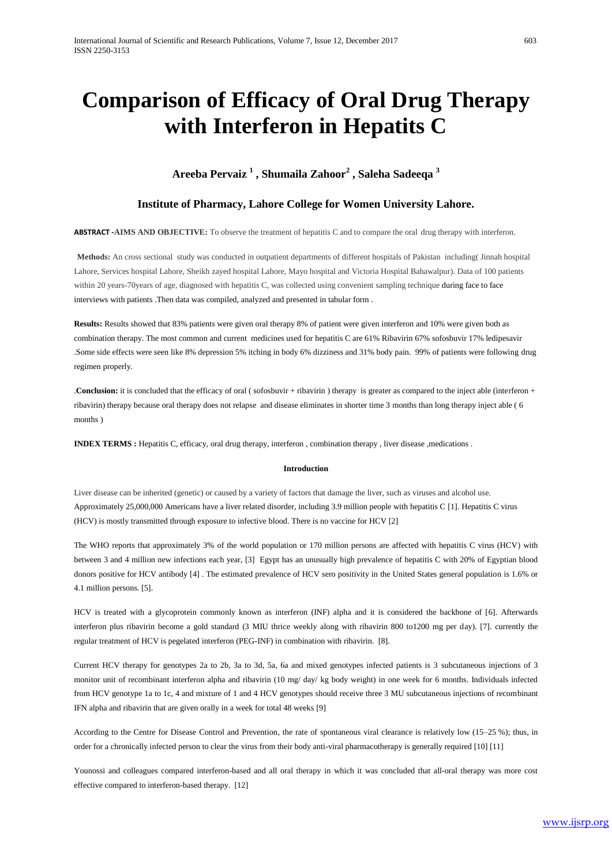# **Comparison of Efficacy of Oral Drug Therapy with Interferon in Hepatits C**

# **Areeba Pervaiz <sup>1</sup> , Shumaila Zahoor<sup>2</sup> , Saleha Sadeeqa <sup>3</sup>**

# **Institute of Pharmacy, Lahore College for Women University Lahore.**

# **ABSTRACT -AIMS AND OBJECTIVE:** To observe the treatment of hepatitis C and to compare the oral drug therapy with interferon.

**Methods:** An cross sectional study was conducted in outpatient departments of different hospitals of Pakistan including( Jinnah hospital Lahore, Services hospital Lahore, Sheikh zayed hospital Lahore, Mayo hospital and Victoria Hospital Bahawalpur). Data of 100 patients within 20 years-70years of age, diagnosed with hepatitis C, was collected using convenient sampling technique during face to face interviews with patients .Then data was compiled, analyzed and presented in tabular form .

**Results:** Results showed that 83% patients were given oral therapy 8% of patient were given interferon and 10% were given both as combination therapy. The most common and current medicines used for hepatitis C are 61% Ribavirin 67% sofosbuvir 17% ledipesavir .Some side effects were seen like 8% depression 5% itching in body 6% dizziness and 31% body pain. 99% of patients were following drug regimen properly.

.**Conclusion:** it is concluded that the efficacy of oral ( sofosbuvir + ribavirin ) therapy is greater as compared to the inject able (interferon + ribavirin) therapy because oral therapy does not relapse and disease eliminates in shorter time 3 months than long therapy inject able ( 6 months )

**INDEX TERMS :** Hepatitis C, efficacy, oral drug therapy, interferon , combination therapy , liver disease ,medications .

### **Introduction**

Liver disease can be inherited (genetic) or caused by a variety of factors that damage the liver, such as viruses and alcohol use. Approximately 25,000,000 Americans have a liver related disorder, including 3.9 million people with hepatitis C [1]. Hepatitis C virus (HCV) is mostly transmitted through exposure to infective blood. There is no vaccine for HCV [2]

The WHO reports that approximately 3% of the world population or 170 million persons are affected with hepatitis C virus (HCV) with between 3 and 4 million new infections each year, [3] Egypt has an unusually high prevalence of hepatitis C with 20% of Egyptian blood donors positive for HCV antibody [4] . The estimated prevalence of HCV sero positivity in the United States general population is 1.6% or 4.1 million persons. [5].

HCV is treated with a glycoprotein commonly known as interferon (INF) alpha and it is considered the backbone of [6]. Afterwards interferon plus ribavirin become a gold standard (3 MIU thrice weekly along with ribavirin 800 to1200 mg per day). [7]. currently the regular treatment of HCV is pegelated interferon (PEG-INF) in combination with ribavirin. [8].

Current HCV therapy for genotypes 2a to 2b, 3a to 3d, 5a, 6a and mixed genotypes infected patients is 3 subcutaneous injections of 3 monitor unit of recombinant interferon alpha and ribavirin (10 mg/ day/ kg body weight) in one week for 6 months. Individuals infected from HCV genotype 1a to 1c, 4 and mixture of 1 and 4 HCV genotypes should receive three 3 MU subcutaneous injections of recombinant IFN alpha and ribavirin that are given orally in a week for total 48 weeks [9]

According to the Centre for Disease Control and Prevention, the rate of spontaneous viral clearance is relatively low (15–25 %); thus, in order for a chronically infected person to clear the virus from their body anti-viral pharmacotherapy is generally required [10] [11]

Younossi and colleagues compared interferon-based and all oral therapy in which it was concluded that all-oral therapy was more cost effective compared to interferon-based therapy. [12]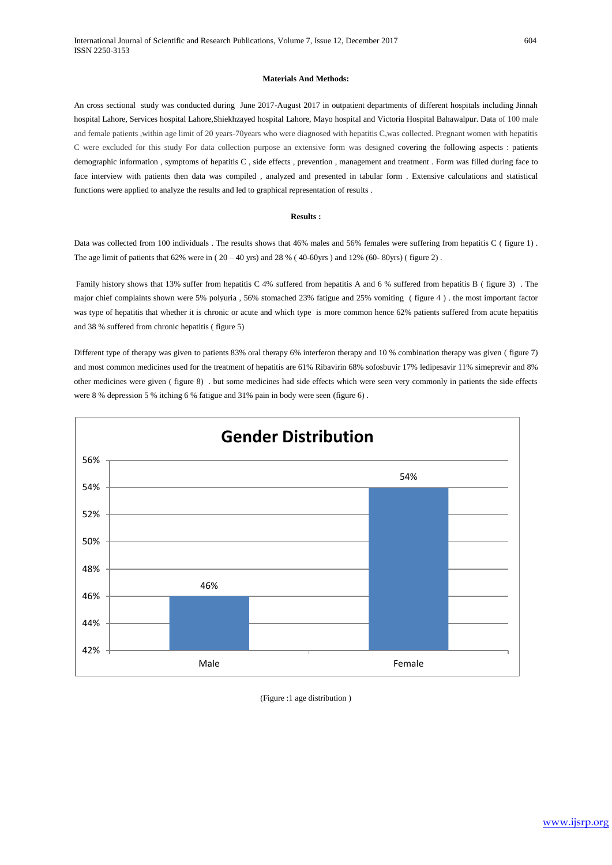## **Materials And Methods:**

An cross sectional study was conducted during June 2017-August 2017 in outpatient departments of different hospitals including Jinnah hospital Lahore, Services hospital Lahore,Shiekhzayed hospital Lahore, Mayo hospital and Victoria Hospital Bahawalpur. Data of 100 male and female patients ,within age limit of 20 years-70years who were diagnosed with hepatitis C,was collected. Pregnant women with hepatitis C were excluded for this study For data collection purpose an extensive form was designed covering the following aspects : patients demographic information , symptoms of hepatitis C , side effects , prevention , management and treatment . Form was filled during face to face interview with patients then data was compiled , analyzed and presented in tabular form . Extensive calculations and statistical functions were applied to analyze the results and led to graphical representation of results .

#### **Results :**

Data was collected from 100 individuals . The results shows that 46% males and 56% females were suffering from hepatitis C ( figure 1). The age limit of patients that 62% were in  $(20 - 40 \text{ yrs})$  and 28 %  $(40 - 60 \text{ yrs})$  and 12%  $(60 - 80 \text{ yrs})$  ( figure 2).

Family history shows that 13% suffer from hepatitis C 4% suffered from hepatitis A and 6 % suffered from hepatitis B ( figure 3) . The major chief complaints shown were 5% polyuria , 56% stomached 23% fatigue and 25% vomiting ( figure 4 ) . the most important factor was type of hepatitis that whether it is chronic or acute and which type is more common hence 62% patients suffered from acute hepatitis and 38 % suffered from chronic hepatitis ( figure 5)

Different type of therapy was given to patients 83% oral therapy 6% interferon therapy and 10 % combination therapy was given ( figure 7) and most common medicines used for the treatment of hepatitis are 61% Ribavirin 68% sofosbuvir 17% ledipesavir 11% simeprevir and 8% other medicines were given ( figure 8) . but some medicines had side effects which were seen very commonly in patients the side effects were 8 % depression 5 % itching 6 % fatigue and 31% pain in body were seen (figure 6) .



(Figure :1 age distribution )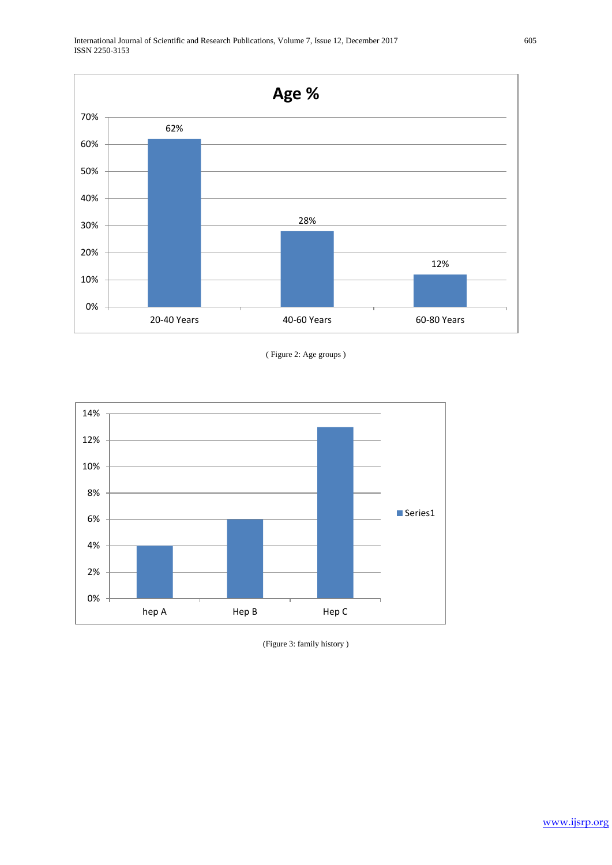

# ( Figure 2: Age groups )



<sup>(</sup>Figure 3: family history )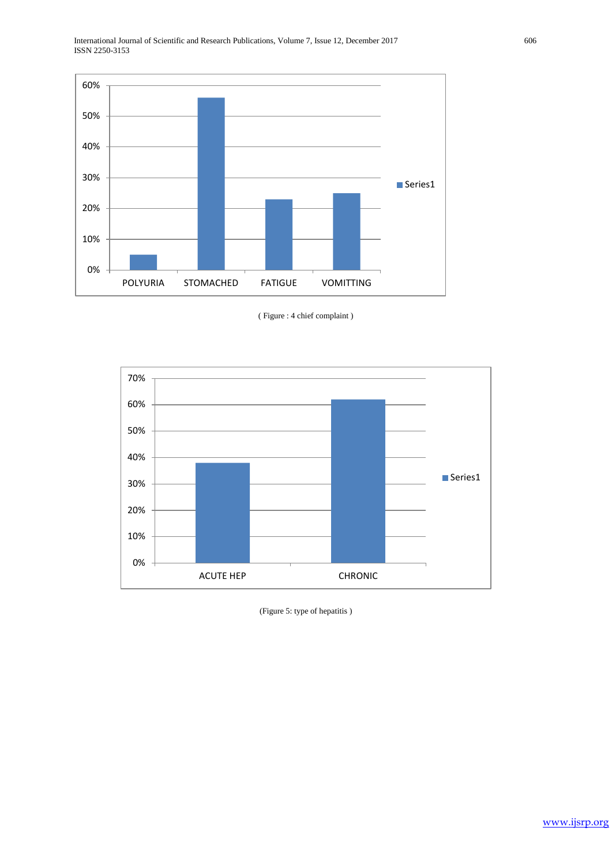





(Figure 5: type of hepatitis )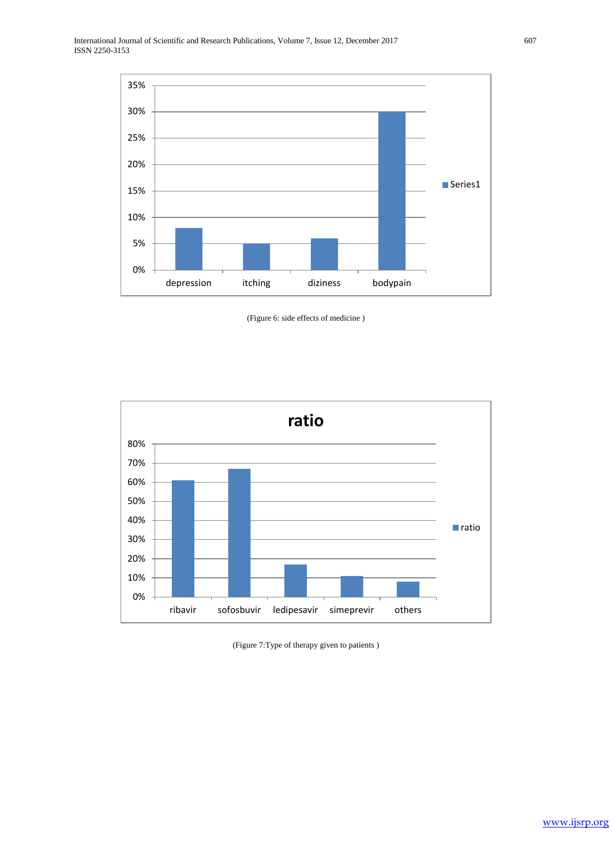





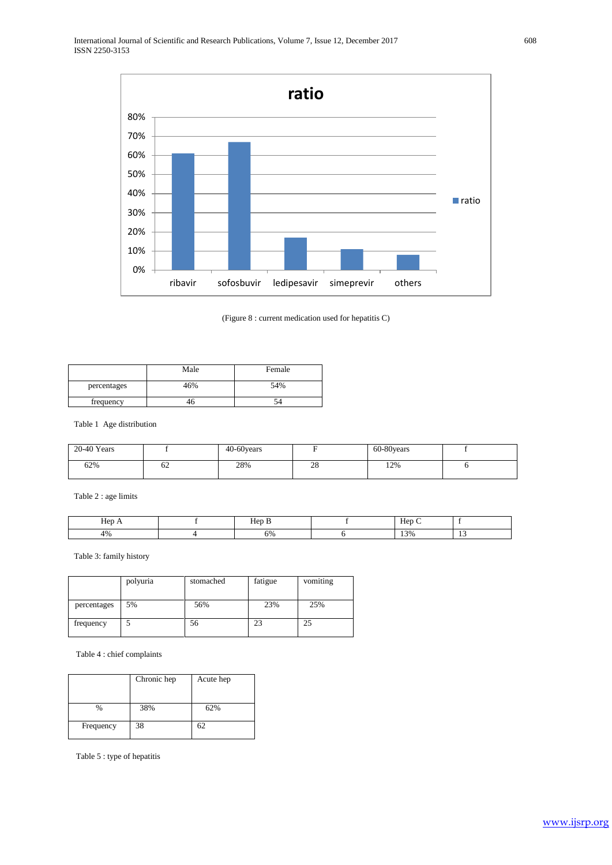

(Figure 8 : current medication used for hepatitis C)

|             | Male | Female |
|-------------|------|--------|
| percentages | 46%  | 54%    |
| frequency   | 40   | 74     |

Table 1 Age distribution

| 20-40 Years |    | 40-60 years |              | 60-80 years |  |
|-------------|----|-------------|--------------|-------------|--|
| 62%         | 62 | 28%         | $\cap$<br>20 | 12%         |  |

 $Table~2:age~limits$ 

| $-1$<br>Hep | $\sim$ $\sim$<br>Hep<br>., | Hep<br>- |        |
|-------------|----------------------------|----------|--------|
| 4%          | 6%                         | 13%      | $\sim$ |

Table 3: family history

|             | polyuria | stomached | fatigue | vomiting |
|-------------|----------|-----------|---------|----------|
|             |          |           |         |          |
| percentages | 5%       | 56%       | 23%     | 25%      |
| frequency   |          | 56        | 23      | 25       |

Table 4 : chief complaints

|           | Chronic hep | Acute hep |
|-----------|-------------|-----------|
| %         | 38%         | 62%       |
| Frequency | 38          | 62        |

Table 5 : type of hepatitis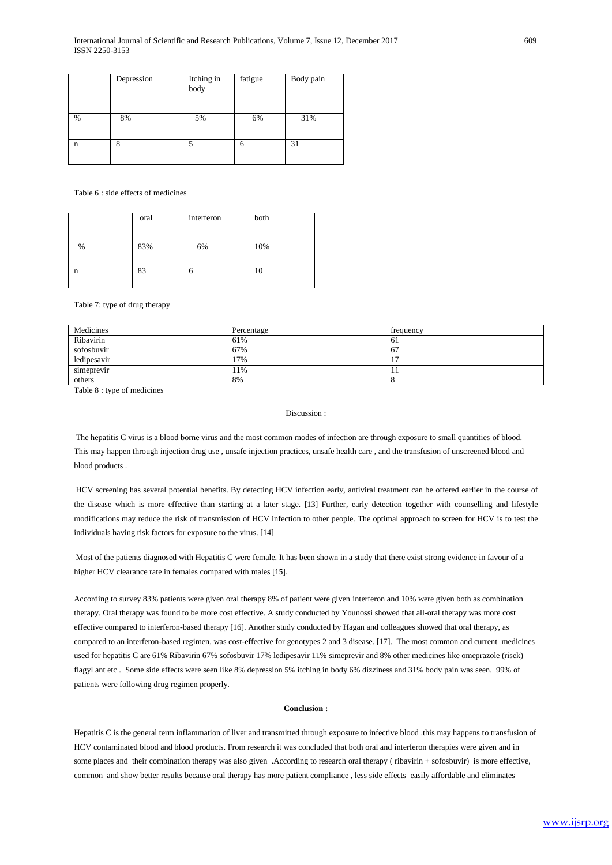|               | Depression | Itching in<br>body | fatigue | Body pain |
|---------------|------------|--------------------|---------|-----------|
| $\frac{0}{0}$ | 8%         | 5%                 | 6%      | 31%       |
| $\mathbf n$   | 8          |                    | 6       | 31        |

## Table 6 : side effects of medicines

|      | oral | interferon | both |
|------|------|------------|------|
|      |      |            |      |
| $\%$ | 83%  | 6%         | 10%  |
|      |      |            |      |
| n    | 83   | 6          | 10   |
|      |      |            |      |

Table 7: type of drug therapy

| Medicines   | Percentage | frequency |
|-------------|------------|-----------|
| Ribavirin   | 61%        | 61        |
| sofosbuvir  | 67%        | 67        |
| ledipesavir | 17%        |           |
| simeprevir  | 11%        |           |
| others      | 8%         |           |

Table 8 : type of medicines

# Discussion :

The hepatitis C virus is a blood borne virus and the most common modes of infection are through exposure to small quantities of blood. This may happen through injection drug use , unsafe injection practices, unsafe health care , and the transfusion of unscreened blood and blood products .

HCV screening has several potential benefits. By detecting HCV infection early, antiviral treatment can be offered earlier in the course of the disease which is more effective than starting at a later stage. [13] Further, early detection together with counselling and lifestyle modifications may reduce the risk of transmission of HCV infection to other people. The optimal approach to screen for HCV is to test the individuals having risk factors for exposure to the virus. [14]

Most of the patients diagnosed with Hepatitis C were female. It has been shown in a study that there exist strong evidence in favour of a higher HCV clearance rate in females compared with males [15].

According to survey 83% patients were given oral therapy 8% of patient were given interferon and 10% were given both as combination therapy. Oral therapy was found to be more cost effective. A study conducted by Younossi showed that all-oral therapy was more cost effective compared to interferon-based therapy [16]. Another study conducted by Hagan and colleagues showed that oral therapy, as compared to an interferon-based regimen, was cost-effective for genotypes 2 and 3 disease. [17]. The most common and current medicines used for hepatitis C are 61% Ribavirin 67% sofosbuvir 17% ledipesavir 11% simeprevir and 8% other medicines like omeprazole (risek) flagyl ant etc . Some side effects were seen like 8% depression 5% itching in body 6% dizziness and 31% body pain was seen. 99% of patients were following drug regimen properly.

#### **Conclusion :**

Hepatitis C is the general term inflammation of liver and transmitted through exposure to infective blood .this may happens to transfusion of HCV contaminated blood and blood products. From research it was concluded that both oral and interferon therapies were given and in some places and their combination therapy was also given .According to research oral therapy ( ribavirin + sofosbuvir) is more effective, common and show better results because oral therapy has more patient compliance , less side effects easily affordable and eliminates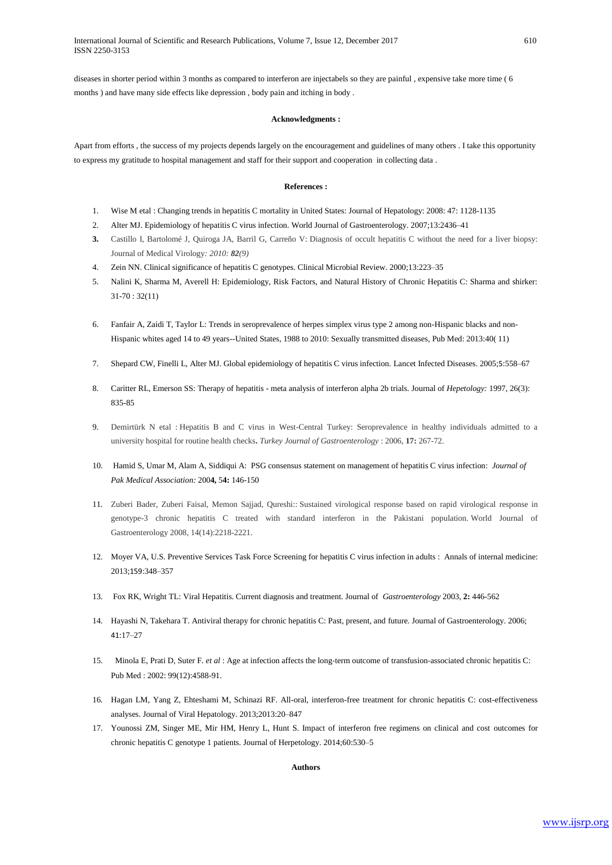diseases in shorter period within 3 months as compared to interferon are injectabels so they are painful , expensive take more time ( 6 months ) and have many side effects like depression , body pain and itching in body .

## **Acknowledgments :**

Apart from efforts , the success of my projects depends largely on the encouragement and guidelines of many others . I take this opportunity to express my gratitude to hospital management and staff for their support and cooperation in collecting data .

### **References :**

- 1. Wise M etal : Changing trends in hepatitis C mortality in United States: Journal of Hepatology: 2008: 47: 1128-1135
- 2. Alter MJ. Epidemiology of hepatitis C virus infection. World Journal of Gastroenterology. 2007;13:2436–41
- **3.** Castillo I, Bartolomé J, Quiroga JA, Barril G, Carreño V: Diagnosis of occult hepatitis C without the need for a liver biopsy: Journal of Medical Virology*: 2010: 82(9)*
- 4. Zein NN. Clinical significance of hepatitis C genotypes. Clinical Microbial Review. 2000;13:223–35
- 5. Nalini K, Sharma M, Averell H: Epidemiology, Risk Factors, and Natural History of Chronic Hepatitis C: Sharma and shirker: 31-70 : 32(11)
- 6. Fanfair A, Zaidi T, Taylor L: Trends in seroprevalence of herpes simplex virus type 2 among non-Hispanic blacks and non-Hispanic whites aged 14 to 49 years--United States, 1988 to 2010: Sexually transmitted diseases, Pub Med: 2013:40( 11)
- 7. Shepard CW, Finelli L, Alter MJ. Global epidemiology of hepatitis C virus infection. Lancet Infected Diseases. 2005;5:558–67
- 8. Caritter RL, Emerson SS: Therapy of hepatitis meta analysis of interferon alpha 2b trials. Journal of *Hepetology:* 1997, 26(3): 835-85
- 9. Demirtürk N etal : Hepatitis B and C virus in West-Central Turkey: Seroprevalence in healthy individuals admitted to a university hospital for routine health checks**.** *Turkey Journal of Gastroenterology* : 2006, **17:** 267-72.
- 10. Hamid S, Umar M, Alam A, Siddiqui A: PSG consensus statement on management of hepatitis C virus infection: *Journal of Pak Medical Association:* 200**4,** 5**4:** 146-150
- 11. Zuberi Bader, Zuberi Faisal, Memon Sajjad, Qureshi:: Sustained virological response based on rapid virological response in genotype-3 chronic hepatitis C treated with standard interferon in the Pakistani population. World Journal of Gastroenterology 2008, 14(14):2218-2221.
- 12. Moyer VA, U.S. Preventive Services Task Force Screening for hepatitis C virus infection in adults : Annals of internal medicine: 2013;159:348–357
- 13. Fox RK, Wright TL: Viral Hepatitis. Current diagnosis and treatment. Journal of *Gastroenterology* 2003, **2:** 446-562
- 14. Hayashi N, Takehara T. Antiviral therapy for chronic hepatitis C: Past, present, and future. Journal of Gastroenterology. 2006; 41:17–27
- 15. Minola E, Prati D, Suter F. *et al* : Age at infection affects the long-term outcome of transfusion-associated chronic hepatitis C: Pub Med : 2002: 99(12):4588-91.
- 16. Hagan LM, Yang Z, Ehteshami M, Schinazi RF. All-oral, interferon-free treatment for chronic hepatitis C: cost-effectiveness analyses. Journal of Viral Hepatology. 2013;2013:20–847
- 17. Younossi ZM, Singer ME, Mir HM, Henry L, Hunt S. Impact of interferon free regimens on clinical and cost outcomes for chronic hepatitis C genotype 1 patients. Journal of Herpetology. 2014;60:530–5

#### **Authors**